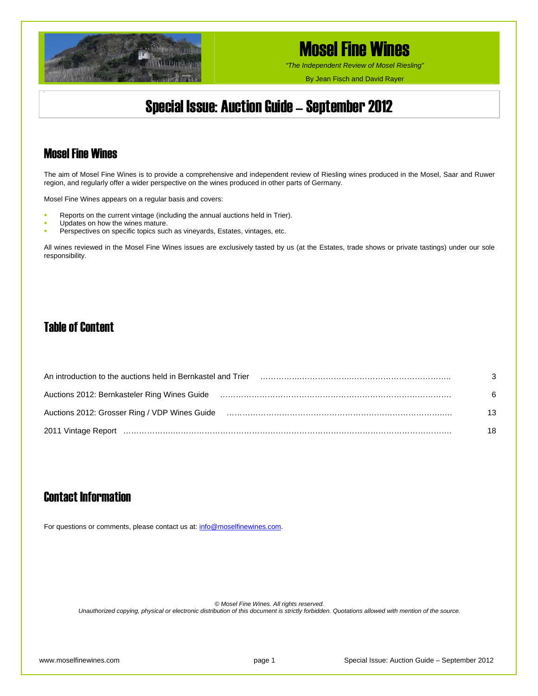

*"The Independent Review of Mosel Riesling"*

By Jean Fisch and David Rayer

## Special Issue: Auction Guide – September 2012

### Mosel Fine Wines

The aim of Mosel Fine Wines is to provide a comprehensive and independent review of Riesling wines produced in the Mosel, Saar and Ruwer region, and regularly offer a wider perspective on the wines produced in other parts of Germany.

Mosel Fine Wines appears on a regular basis and covers:

- Reports on the current vintage (including the annual auctions held in Trier).
- Updates on how the wines mature.
- Perspectives on specific topics such as vineyards, Estates, vintages, etc.

All wines reviewed in the Mosel Fine Wines issues are exclusively tasted by us (at the Estates, trade shows or private tastings) under our sole responsibility.

### Table of Content

| An introduction to the auctions held in Bernkastel and Trier                                                   | 3  |
|----------------------------------------------------------------------------------------------------------------|----|
| Auctions 2012: Bernkasteler Ring Wines Guide                                                                   | 6  |
| Auctions 2012: Grosser Ring / VDP Wines Guide (and the content content content content content content content | 13 |
|                                                                                                                | 18 |

### Contact Information

For questions or comments, please contact us at: [info@moselfinewines.com](mailto:info@moselfinewines.com).

*© Mosel Fine Wines. All rights reserved.* 

*Unauthorized copying, physical or electronic distribution of this document is strictly forbidden. Quotations allowed with mention of the source.*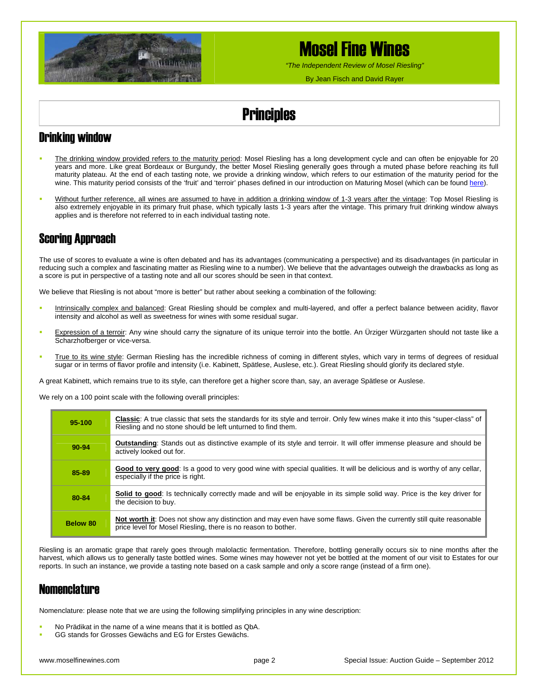

*"The Independent Review of Mosel Riesling"* 

By Jean Fisch and David Rayer

## **Principles**

### Drinking window

- The drinking window provided refers to the maturity period: Mosel Riesling has a long development cycle and can often be enjoyable for 20 years and more. Like great Bordeaux or Burgundy, the better Mosel Riesling generally goes through a muted phase before reaching its full maturity plateau. At the end of each tasting note, we provide a drinking window, which refers to our estimation of the maturity period for the wine. This maturity period consists of the 'fruit' and 'terroir' phases defined in our introduction on Maturing Mosel (which can be found [here\)](http://www.moselfinewines.com/MaturingMosel.htm).
- Without further reference, all wines are assumed to have in addition a drinking window of 1-3 years after the vintage: Top Mosel Riesling is also extremely enjoyable in its primary fruit phase, which typically lasts 1-3 years after the vintage. This primary fruit drinking window always applies and is therefore not referred to in each individual tasting note.

### Scoring Approach

The use of scores to evaluate a wine is often debated and has its advantages (communicating a perspective) and its disadvantages (in particular in reducing such a complex and fascinating matter as Riesling wine to a number). We believe that the advantages outweigh the drawbacks as long as a score is put in perspective of a tasting note and all our scores should be seen in that context.

We believe that Riesling is not about "more is better" but rather about seeking a combination of the following:

- Intrinsically complex and balanced: Great Riesling should be complex and multi-layered, and offer a perfect balance between acidity, flavor intensity and alcohol as well as sweetness for wines with some residual sugar.
- Expression of a terroir: Any wine should carry the signature of its unique terroir into the bottle. An Ürziger Würzgarten should not taste like a Scharzhofberger or vice-versa.
- True to its wine style: German Riesling has the incredible richness of coming in different styles, which vary in terms of degrees of residual sugar or in terms of flavor profile and intensity (i.e. Kabinett, Spätlese, Auslese, etc.). Great Riesling should glorify its declared style.

A great Kabinett, which remains true to its style, can therefore get a higher score than, say, an average Spätlese or Auslese.

We rely on a 100 point scale with the following overall principles:

| 95-100          | <b>Classic:</b> A true classic that sets the standards for its style and terroir. Only few wines make it into this "super-class" of<br>Riesling and no stone should be left unturned to find them. |
|-----------------|----------------------------------------------------------------------------------------------------------------------------------------------------------------------------------------------------|
| 90-94           | <b>Outstanding:</b> Stands out as distinctive example of its style and terroir. It will offer immense pleasure and should be<br>actively looked out for.                                           |
| 85-89           | Good to very good: Is a good to very good wine with special qualities. It will be delicious and is worthy of any cellar,<br>especially if the price is right.                                      |
| 80-84           | Solid to good: Is technically correctly made and will be enjoyable in its simple solid way. Price is the key driver for<br>the decision to buy.                                                    |
| <b>Below 80</b> | <b>Not worth it:</b> Does not show any distinction and may even have some flaws. Given the currently still quite reasonable<br>price level for Mosel Riesling, there is no reason to bother.       |

Riesling is an aromatic grape that rarely goes through malolactic fermentation. Therefore, bottling generally occurs six to nine months after the harvest, which allows us to generally taste bottled wines. Some wines may however not yet be bottled at the moment of our visit to Estates for our reports. In such an instance, we provide a tasting note based on a cask sample and only a score range (instead of a firm one).

### Nomenclature

Nomenclature: please note that we are using the following simplifying principles in any wine description:

- No Prädikat in the name of a wine means that it is bottled as QbA.
- GG stands for Grosses Gewächs and EG for Erstes Gewächs.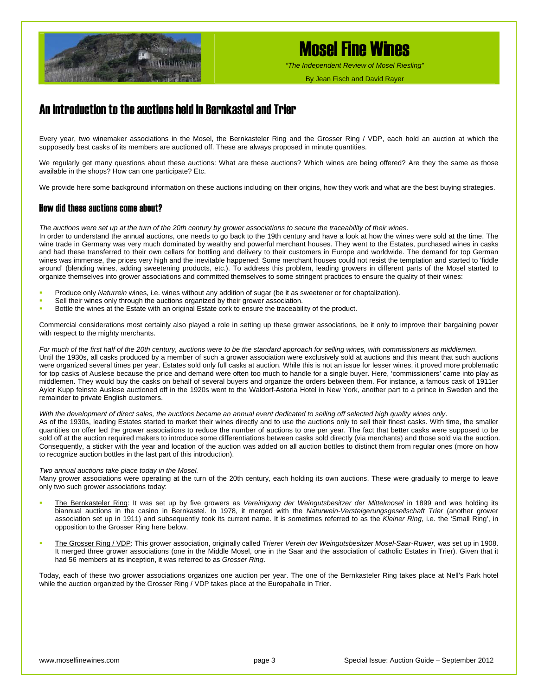

*"The Independent Review of Mosel Riesling"*

By Jean Fisch and David Rayer

### An introduction to the auctions held in Bernkastel and Trier

Every year, two winemaker associations in the Mosel, the Bernkasteler Ring and the Grosser Ring / VDP, each hold an auction at which the supposedly best casks of its members are auctioned off. These are always proposed in minute quantities.

We regularly get many questions about these auctions: What are these auctions? Which wines are being offered? Are they the same as those available in the shops? How can one participate? Etc.

We provide here some background information on these auctions including on their origins, how they work and what are the best buying strategies.

#### How did these auctions come about?

*The auctions were set up at the turn of the 20th century by grower associations to secure the traceability of their wines*.

In order to understand the annual auctions, one needs to go back to the 19th century and have a look at how the wines were sold at the time. The wine trade in Germany was very much dominated by wealthy and powerful merchant houses. They went to the Estates, purchased wines in casks and had these transferred to their own cellars for bottling and delivery to their customers in Europe and worldwide. The demand for top German wines was immense, the prices very high and the inevitable happened: Some merchant houses could not resist the temptation and started to 'fiddle around' (blending wines, adding sweetening products, etc.). To address this problem, leading growers in different parts of the Mosel started to organize themselves into grower associations and committed themselves to some stringent practices to ensure the quality of their wines:

- Produce only *Naturrein* wines, i.e. wines without any addition of sugar (be it as sweetener or for chaptalization).
- Sell their wines only through the auctions organized by their grower association.
- Bottle the wines at the Estate with an original Estate cork to ensure the traceability of the product.

Commercial considerations most certainly also played a role in setting up these grower associations, be it only to improve their bargaining power with respect to the mighty merchants.

*For much of the first half of the 20th century, auctions were to be the standard approach for selling wines, with commissioners as middlemen*. Until the 1930s, all casks produced by a member of such a grower association were exclusively sold at auctions and this meant that such auctions were organized several times per year. Estates sold only full casks at auction. While this is not an issue for lesser wines, it proved more problematic for top casks of Auslese because the price and demand were often too much to handle for a single buyer. Here, 'commissioners' came into play as middlemen. They would buy the casks on behalf of several buyers and organize the orders between them. For instance, a famous cask of 1911er Ayler Kupp feinste Auslese auctioned off in the 1920s went to the Waldorf-Astoria Hotel in New York, another part to a prince in Sweden and the remainder to private English customers.

#### *With the development of direct sales, the auctions became an annual event dedicated to selling off selected high quality wines only*.

As of the 1930s, leading Estates started to market their wines directly and to use the auctions only to sell their finest casks. With time, the smaller quantities on offer led the grower associations to reduce the number of auctions to one per year. The fact that better casks were supposed to be sold off at the auction required makers to introduce some differentiations between casks sold directly (via merchants) and those sold via the auction. Consequently, a sticker with the year and location of the auction was added on all auction bottles to distinct them from regular ones (more on how to recognize auction bottles in the last part of this introduction).

#### *Two annual auctions take place today in the Mosel.*

Many grower associations were operating at the turn of the 20th century, each holding its own auctions. These were gradually to merge to leave only two such grower associations today:

- The Bernkasteler Ring: It was set up by five growers as *Vereinigung der Weingutsbesitzer der Mittelmosel* in 1899 and was holding its biannual auctions in the casino in Bernkastel. In 1978, it merged with the *Naturwein-Versteigerungsgesellschaft Trier* (another grower association set up in 1911) and subsequently took its current name. It is sometimes referred to as the *Kleiner Ring*, i.e. the 'Small Ring', in opposition to the Grosser Ring here below.
- The Grosser Ring / VDP: This grower association, originally called *Trierer Verein der Weingutsbesitzer Mosel-Saar-Ruwer*, was set up in 1908. It merged three grower associations (one in the Middle Mosel, one in the Saar and the association of catholic Estates in Trier). Given that it had 56 members at its inception, it was referred to as *Grosser Ring*.

Today, each of these two grower associations organizes one auction per year. The one of the Bernkasteler Ring takes place at Nell's Park hotel while the auction organized by the Grosser Ring / VDP takes place at the Europahalle in Trier.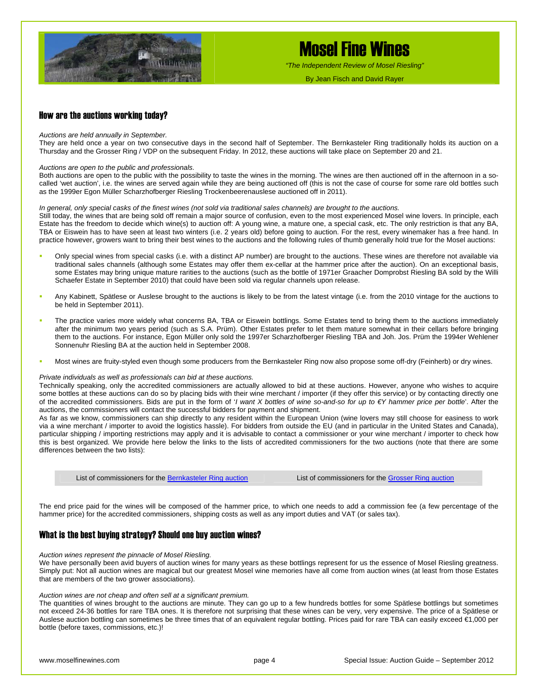

*"The Independent Review of Mosel Riesling"*

By Jean Fisch and David Rayer

#### How are the auctions working today?

#### *Auctions are held annually in September.*

They are held once a year on two consecutive days in the second half of September. The Bernkasteler Ring traditionally holds its auction on a Thursday and the Grosser Ring / VDP on the subsequent Friday. In 2012, these auctions will take place on September 20 and 21.

#### *Auctions are open to the public and professionals.*

Both auctions are open to the public with the possibility to taste the wines in the morning. The wines are then auctioned off in the afternoon in a socalled 'wet auction', i.e. the wines are served again while they are being auctioned off (this is not the case of course for some rare old bottles such as the 1999er Egon Müller Scharzhofberger Riesling Trockenbeerenauslese auctioned off in 2011).

#### *In general, only special casks of the finest wines (not sold via traditional sales channels) are brought to the auctions.*

Still today, the wines that are being sold off remain a major source of confusion, even to the most experienced Mosel wine lovers. In principle, each Estate has the freedom to decide which wine(s) to auction off: A young wine, a mature one, a special cask, etc. The only restriction is that any BA, TBA or Eiswein has to have seen at least two winters (i.e. 2 years old) before going to auction. For the rest, every winemaker has a free hand. In practice however, growers want to bring their best wines to the auctions and the following rules of thumb generally hold true for the Mosel auctions:

- Only special wines from special casks (i.e. with a distinct AP number) are brought to the auctions. These wines are therefore not available via traditional sales channels (although some Estates may offer them ex-cellar at the hammer price after the auction). On an exceptional basis, some Estates may bring unique mature rarities to the auctions (such as the bottle of 1971er Graacher Domprobst Riesling BA sold by the Willi Schaefer Estate in September 2010) that could have been sold via regular channels upon release.
- Any Kabinett, Spätlese or Auslese brought to the auctions is likely to be from the latest vintage (i.e. from the 2010 vintage for the auctions to be held in September 2011).
- The practice varies more widely what concerns BA, TBA or Eiswein bottlings. Some Estates tend to bring them to the auctions immediately after the minimum two years period (such as S.A. Prüm). Other Estates prefer to let them mature somewhat in their cellars before bringing them to the auctions. For instance, Egon Müller only sold the 1997er Scharzhofberger Riesling TBA and Joh. Jos. Prüm the 1994er Wehlener Sonnenuhr Riesling BA at the auction held in September 2008.
- Most wines are fruity-styled even though some producers from the Bernkasteler Ring now also propose some off-dry (Feinherb) or dry wines.

#### *Private individuals as well as professionals can bid at these auctions.*

Technically speaking, only the accredited commissioners are actually allowed to bid at these auctions. However, anyone who wishes to acquire some bottles at these auctions can do so by placing bids with their wine merchant / importer (if they offer this service) or by contacting directly one of the accredited commissioners. Bids are put in the form of '*I want X bottles of wine so-and-so for up to €Y hammer price per bottle*'. After the auctions, the commissioners will contact the successful bidders for payment and shipment.

As far as we know, commissioners can ship directly to any resident within the European Union (wine lovers may still choose for easiness to work via a wine merchant / importer to avoid the logistics hassle). For bidders from outside the EU (and in particular in the United States and Canada), particular shipping / importing restrictions may apply and it is advisable to contact a commissioner or your wine merchant / importer to check how this is best organized. We provide here below the links to the lists of accredited commissioners for the two auctions (note that there are some differences between the two lists):

List of commissioners for the [Bernkasteler Ring auction](http://www.bernkasteler-ring.de/images/die_kommissionaere.pdf)<br>
List of commissioners for the [Grosser Ring auction](http://www.vdp.de/de/vdp-weinversteigerungen/kommissionaere)

The end price paid for the wines will be composed of the hammer price, to which one needs to add a commission fee (a few percentage of the hammer price) for the accredited commissioners, shipping costs as well as any import duties and VAT (or sales tax).

#### What is the best buying strategy? Should one buy auction wines?

#### *Auction wines represent the pinnacle of Mosel Riesling.*

We have personally been avid buyers of auction wines for many years as these bottlings represent for us the essence of Mosel Riesling greatness. Simply put: Not all auction wines are magical but our greatest Mosel wine memories have all come from auction wines (at least from those Estates that are members of the two grower associations).

#### *Auction wines are not cheap and often sell at a significant premium.*

The quantities of wines brought to the auctions are minute. They can go up to a few hundreds bottles for some Spätlese bottlings but sometimes not exceed 24-36 bottles for rare TBA ones. It is therefore not surprising that these wines can be very, very expensive. The price of a Spätlese or Auslese auction bottling can sometimes be three times that of an equivalent regular bottling. Prices paid for rare TBA can easily exceed €1,000 per bottle (before taxes, commissions, etc.)!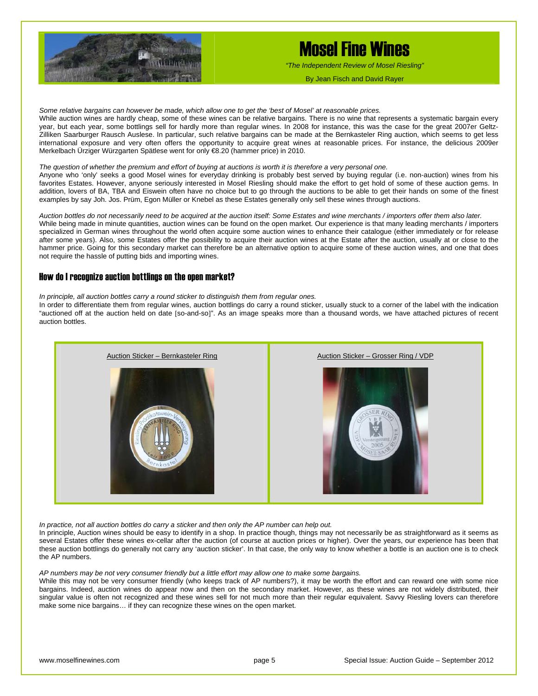

*"The Independent Review of Mosel Riesling"*

*Some relative bargains can however be made, which allow one to get the 'best of Mosel' at reasonable prices.* 

While auction wines are hardly cheap, some of these wines can be relative bargains. There is no wine that represents a systematic bargain every year, but each year, some bottlings sell for hardly more than regular wines. In 2008 for instance, this was the case for the great 2007er Geltz-Zilliken Saarburger Rausch Auslese. In particular, such relative bargains can be made at the Bernkasteler Ring auction, which seems to get less international exposure and very often offers the opportunity to acquire great wines at reasonable prices. For instance, the delicious 2009er Merkelbach Ürziger Würzgarten Spätlese went for only €8.20 (hammer price) in 2010.

#### *The question of whether the premium and effort of buying at auctions is worth it is therefore a very personal one.*

Anyone who 'only' seeks a good Mosel wines for everyday drinking is probably best served by buying regular (i.e. non-auction) wines from his favorites Estates. However, anyone seriously interested in Mosel Riesling should make the effort to get hold of some of these auction gems. In addition, lovers of BA, TBA and Eiswein often have no choice but to go through the auctions to be able to get their hands on some of the finest examples by say Joh. Jos. Prüm, Egon Müller or Knebel as these Estates generally only sell these wines through auctions.

*Auction bottles do not necessarily need to be acquired at the auction itself: Some Estates and wine merchants / importers offer them also later.*  While being made in minute quantities, auction wines can be found on the open market. Our experience is that many leading merchants / importers specialized in German wines throughout the world often acquire some auction wines to enhance their catalogue (either immediately or for release after some years). Also, some Estates offer the possibility to acquire their auction wines at the Estate after the auction, usually at or close to the hammer price. Going for this secondary market can therefore be an alternative option to acquire some of these auction wines, and one that does not require the hassle of putting bids and importing wines.

#### How do I recognize auction bottlings on the open market?

*In principle, all auction bottles carry a round sticker to distinguish them from regular ones.* 

In order to differentiate them from regular wines, auction bottlings do carry a round sticker, usually stuck to a corner of the label with the indication "auctioned off at the auction held on date [so-and-so]". As an image speaks more than a thousand words, we have attached pictures of recent auction bottles.



*In practice, not all auction bottles do carry a sticker and then only the AP number can help out.* 

In principle, Auction wines should be easy to identify in a shop. In practice though, things may not necessarily be as straightforward as it seems as several Estates offer these wines ex-cellar after the auction (of course at auction prices or higher). Over the years, our experience has been that these auction bottlings do generally not carry any 'auction sticker'. In that case, the only way to know whether a bottle is an auction one is to check the AP numbers.

*AP numbers may be not very consumer friendly but a little effort may allow one to make some bargains.* 

While this may not be very consumer friendly (who keeps track of AP numbers?), it may be worth the effort and can reward one with some nice bargains. Indeed, auction wines do appear now and then on the secondary market. However, as these wines are not widely distributed, their singular value is often not recognized and these wines sell for not much more than their regular equivalent. Savvy Riesling lovers can therefore make some nice bargains… if they can recognize these wines on the open market.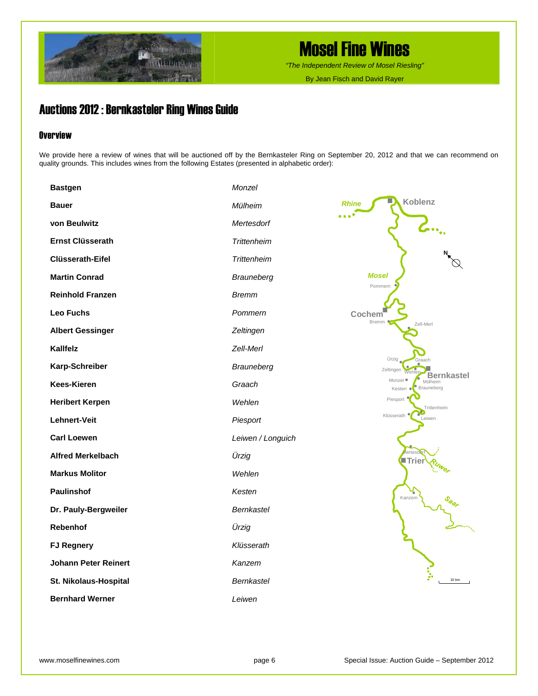

*"The Independent Review of Mosel Riesling"*

By Jean Fisch and David Rayer

### Auctions 2012 : Bernkasteler Ring Wines Guide

#### **Overview**

We provide here a review of wines that will be auctioned off by the Bernkasteler Ring on September 20, 2012 and that we can recommend on quality grounds. This includes wines from the following Estates (presented in alphabetic order):

| <b>Bastgen</b>              | Monzel             |                                                            |
|-----------------------------|--------------------|------------------------------------------------------------|
| <b>Bauer</b>                | Mülheim            | Koblenz<br><b>Rhine</b>                                    |
| von Beulwitz                | Mertesdorf         | le sign                                                    |
| <b>Ernst Clüsserath</b>     | <b>Trittenheim</b> |                                                            |
| <b>Clüsserath-Eifel</b>     | <b>Trittenheim</b> |                                                            |
| <b>Martin Conrad</b>        | <b>Brauneberg</b>  | <b>Mosel</b><br>Pommern                                    |
| <b>Reinhold Franzen</b>     | <b>Bremm</b>       |                                                            |
| Leo Fuchs                   | Pommern            | Cochem <sup>'</sup><br>Bremm                               |
| <b>Albert Gessinger</b>     | Zeltingen          | Zell-Merl                                                  |
| Kallfelz                    | Zell-Merl          |                                                            |
| Karp-Schreiber              | Brauneberg         | Ürzig<br>Graach<br>Zeltingen<br>Weble<br><b>Bernkastel</b> |
| <b>Kees-Kieren</b>          | Graach             | Monzel ·<br>Mülheim<br><b>Brauneberg</b><br>Kesten ●       |
| <b>Heribert Kerpen</b>      | Wehlen             | Piesport<br>Trittenheim                                    |
| Lehnert-Veit                | Piesport           | Klüsserath<br>Leiwen                                       |
| <b>Carl Loewen</b>          | Leiwen / Longuich  |                                                            |
| <b>Alfred Merkelbach</b>    | Ürzig              | ertes<br>$\sf{Trier}$                                      |
| <b>Markus Molitor</b>       | Wehlen             |                                                            |
| <b>Paulinshof</b>           | Kesten             | Kanzem<br>$\mathcal{S}_{\Theta_{\mathcal{O}_j}}$           |
| Dr. Pauly-Bergweiler        | <b>Bernkastel</b>  |                                                            |
| Rebenhof                    | Ürzig              |                                                            |
| <b>FJ Regnery</b>           | Klüsserath         |                                                            |
| <b>Johann Peter Reinert</b> | Kanzem             |                                                            |
| St. Nikolaus-Hospital       | <b>Bernkastel</b>  | 10 km                                                      |
| <b>Bernhard Werner</b>      | Leiwen             |                                                            |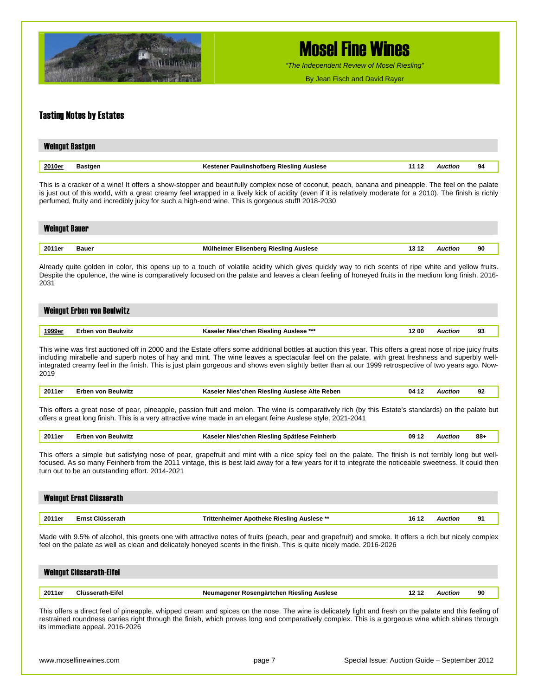

*"The Independent Review of Mosel Riesling"*

By Jean Fisch and David Rayer

#### Tasting Notes by Estates

| <b>Weingut Bastgen</b> |         |                                                   |                |    |
|------------------------|---------|---------------------------------------------------|----------------|----|
| 2010er                 | Bastgen | Kestener Paulinshofberg Riesling Auslese<br>11 12 | <b>Auction</b> | 94 |

This is a cracker of a wine! It offers a show-stopper and beautifully complex nose of coconut, peach, banana and pineapple. The feel on the palate is just out of this world, with a great creamy feel wrapped in a lively kick of acidity (even if it is relatively moderate for a 2010). The finish is richly perfumed, fruity and incredibly juicy for such a high-end wine. This is gorgeous stuff! 2018-2030

| <b>Weingut Bauer</b> |            |                                       |       |          |    |
|----------------------|------------|---------------------------------------|-------|----------|----|
|                      |            |                                       |       |          |    |
| 2011er               | Bauer<br>. | Mülheimer Elisenberg Riesling Auslese | $-12$ | Auction. | 90 |

Already quite golden in color, this opens up to a touch of volatile acidity which gives quickly way to rich scents of ripe white and yellow fruits. Despite the opulence, the wine is comparatively focused on the palate and leaves a clean feeling of honeyed fruits in the medium long finish. 2016- 2031

#### Weingut Erben von Beulwitz

| 1000 <sub>0</sub> | ieulwitz | ***<br>Rieslind<br>Auslese<br> | ' OL | o۰<br>- |
|-------------------|----------|--------------------------------|------|---------|
|                   |          |                                |      |         |

This wine was first auctioned off in 2000 and the Estate offers some additional bottles at auction this year. This offers a great nose of ripe juicy fruits including mirabelle and superb notes of hay and mint. The wine leaves a spectacular feel on the palate, with great freshness and superbly wellintegrated creamy feel in the finish. This is just plain gorgeous and shows even slightly better than at our 1999 retrospective of two years ago. Now-2019

| 2011er | <b>Beulwitz</b><br>von<br>rnen | . Alte '<br>: Reben<br>. Rieslino<br>'chen<br>Auslese<br><b>Nies</b><br>Yacala.<br>л.<br>- 11 | 04 | uctioi | 92 |
|--------|--------------------------------|-----------------------------------------------------------------------------------------------|----|--------|----|
|        |                                |                                                                                               |    |        |    |

This offers a great nose of pear, pineapple, passion fruit and melon. The wine is comparatively rich (by this Estate's standards) on the palate but offers a great long finish. This is a very attractive wine made in an elegant feine Auslese style. 2021-2041

| , 2011er | Erben von Beulwitz | Kaseler Nies'chen Riesling Spätlese Feinherb<br>09 12 | Auction | 88- |
|----------|--------------------|-------------------------------------------------------|---------|-----|
|----------|--------------------|-------------------------------------------------------|---------|-----|

This offers a simple but satisfying nose of pear, grapefruit and mint with a nice spicy feel on the palate. The finish is not terribly long but wellfocused. As so many Feinherb from the 2011 vintage, this is best laid away for a few years for it to integrate the noticeable sweetness. It could then turn out to be an outstanding effort. 2014-2021

|        | Weingut Ernst Clüsserath |                                            |       |                |    |
|--------|--------------------------|--------------------------------------------|-------|----------------|----|
|        |                          |                                            |       |                |    |
| 2011er | Ernst Clüsserath         | Trittenheimer Apotheke Riesling Auslese ** | 16 12 | <b>Auction</b> | 91 |

Made with 9.5% of alcohol, this greets one with attractive notes of fruits (peach, pear and grapefruit) and smoke. It offers a rich but nicely complex feel on the palate as well as clean and delicately honeyed scents in the finish. This is quite nicely made. 2016-2026

|        | <b>Weingut Clüsserath-Eifel</b> |                                                    |                |    |
|--------|---------------------------------|----------------------------------------------------|----------------|----|
| 2011er | Clüsserath-Eifel                | Neumagener Rosengärtchen Riesling Auslese<br>12 12 | <b>Auction</b> | 90 |

This offers a direct feel of pineapple, whipped cream and spices on the nose. The wine is delicately light and fresh on the palate and this feeling of restrained roundness carries right through the finish, which proves long and comparatively complex. This is a gorgeous wine which shines through its immediate appeal. 2016-2026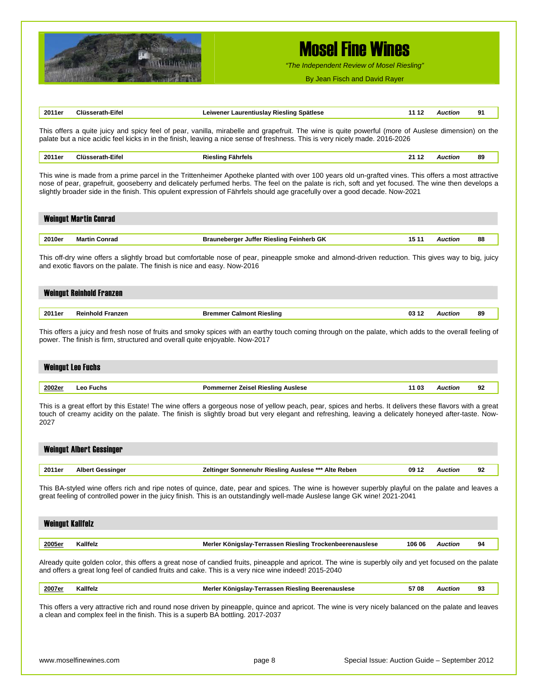

*"The Independent Review of Mosel Riesling"*

By Jean Fisch and David Rayer

| 2011er                  | <b>Clüsserath-Eifel</b>         | Leiwener Laurentiuslay Riesling Spätlese                                                                                                                                                                                                                                                                                                                                                                                                 | 11 12  | <b>Auction</b> | 91 |
|-------------------------|---------------------------------|------------------------------------------------------------------------------------------------------------------------------------------------------------------------------------------------------------------------------------------------------------------------------------------------------------------------------------------------------------------------------------------------------------------------------------------|--------|----------------|----|
|                         |                                 | This offers a quite juicy and spicy feel of pear, vanilla, mirabelle and grapefruit. The wine is quite powerful (more of Auslese dimension) on the<br>palate but a nice acidic feel kicks in in the finish, leaving a nice sense of freshness. This is very nicely made. 2016-2026                                                                                                                                                       |        |                |    |
| 2011er                  | <b>Clüsserath-Eifel</b>         | <b>Riesling Fährfels</b>                                                                                                                                                                                                                                                                                                                                                                                                                 | 21 12  | <b>Auction</b> | 89 |
|                         |                                 | This wine is made from a prime parcel in the Trittenheimer Apotheke planted with over 100 years old un-grafted vines. This offers a most attractive<br>nose of pear, grapefruit, gooseberry and delicately perfumed herbs. The feel on the palate is rich, soft and yet focused. The wine then develops a<br>slightly broader side in the finish. This opulent expression of Fährfels should age gracefully over a good decade. Now-2021 |        |                |    |
|                         | <b>Weingut Martin Conrad</b>    |                                                                                                                                                                                                                                                                                                                                                                                                                                          |        |                |    |
| 2010er                  | <b>Martin Conrad</b>            | <b>Brauneberger Juffer Riesling Feinherb GK</b>                                                                                                                                                                                                                                                                                                                                                                                          | 15 11  | <b>Auction</b> | 88 |
|                         |                                 | This off-dry wine offers a slightly broad but comfortable nose of pear, pineapple smoke and almond-driven reduction. This gives way to big, juicy<br>and exotic flavors on the palate. The finish is nice and easy. Now-2016                                                                                                                                                                                                             |        |                |    |
|                         | <b>Weingut Reinhold Franzen</b> |                                                                                                                                                                                                                                                                                                                                                                                                                                          |        |                |    |
| 2011er                  | <b>Reinhold Franzen</b>         | <b>Bremmer Calmont Riesling</b>                                                                                                                                                                                                                                                                                                                                                                                                          | 03 12  | <b>Auction</b> | 89 |
|                         | <b>Weingut Leo Fuchs</b>        | power. The finish is firm, structured and overall quite enjoyable. Now-2017                                                                                                                                                                                                                                                                                                                                                              |        |                |    |
| <u> 2002er</u>          | Leo Fuchs                       | <b>Pommerner Zeisel Riesling Auslese</b>                                                                                                                                                                                                                                                                                                                                                                                                 | 11 03  | <b>Auction</b> | 92 |
| 2027                    |                                 | This is a great effort by this Estate! The wine offers a gorgeous nose of yellow peach, pear, spices and herbs. It delivers these flavors with a great<br>touch of creamy acidity on the palate. The finish is slightly broad but very elegant and refreshing, leaving a delicately honeyed after-taste. Now-                                                                                                                            |        |                |    |
|                         | <b>Weingut Albert Gessinger</b> |                                                                                                                                                                                                                                                                                                                                                                                                                                          |        |                |    |
| 2011er                  | <b>Albert Gessinger</b>         | Zeltinger Sonnenuhr Riesling Auslese *** Alte Reben                                                                                                                                                                                                                                                                                                                                                                                      | 09 12  | <b>Auction</b> | 92 |
|                         |                                 | This BA-styled wine offers rich and ripe notes of quince, date, pear and spices. The wine is however superbly playful on the palate and leaves a<br>great feeling of controlled power in the juicy finish. This is an outstandingly well-made Auslese lange GK wine! 2021-2041                                                                                                                                                           |        |                |    |
| <b>Weingut Kallfelz</b> |                                 |                                                                                                                                                                                                                                                                                                                                                                                                                                          |        |                |    |
| 2005er                  | Kallfelz                        | Merler Königslay-Terrassen Riesling Trockenbeerenauslese                                                                                                                                                                                                                                                                                                                                                                                 | 106 06 | <b>Auction</b> | 94 |
|                         |                                 | Already quite golden color, this offers a great nose of candied fruits, pineapple and apricot. The wine is superbly oily and yet focused on the palate<br>and offers a great long feel of candied fruits and cake. This is a very nice wine indeed! 2015-2040                                                                                                                                                                            |        |                |    |
| 2007er                  | Kallfelz                        | Merler Königslay-Terrassen Riesling Beerenauslese                                                                                                                                                                                                                                                                                                                                                                                        | 5708   | <b>Auction</b> | 93 |
|                         |                                 | This offers a very attractive rich and round nose driven by pineapple, quince and apricot. The wine is very nicely balanced on the palate and leaves<br>a clean and complex feel in the finish. This is a superb BA bottling. 2017-2037                                                                                                                                                                                                  |        |                |    |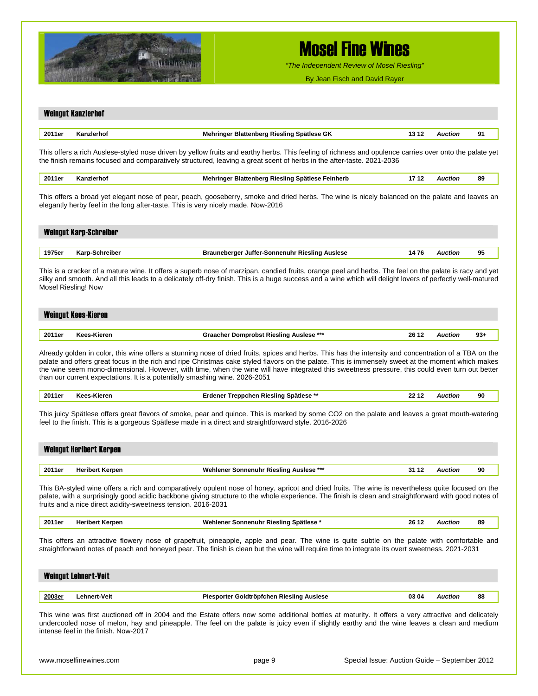

*"The Independent Review of Mosel Riesling"*

By Jean Fisch and David Rayer

|        | <b>Weingut Kanzlerhof</b>                                                        |                                                                                                                                                                                                                                                                                                             |       |                |       |
|--------|----------------------------------------------------------------------------------|-------------------------------------------------------------------------------------------------------------------------------------------------------------------------------------------------------------------------------------------------------------------------------------------------------------|-------|----------------|-------|
| 2011er | Kanzlerhof                                                                       | Mehringer Blattenberg Riesling Spätlese GK                                                                                                                                                                                                                                                                  | 13 12 | <b>Auction</b> | 91    |
|        |                                                                                  | This offers a rich Auslese-styled nose driven by yellow fruits and earthy herbs. This feeling of richness and opulence carries over onto the palate yet<br>the finish remains focused and comparatively structured, leaving a great scent of herbs in the after-taste. 2021-2036                            |       |                |       |
| 2011er | Kanzlerhof                                                                       | Mehringer Blattenberg Riesling Spätlese Feinherb                                                                                                                                                                                                                                                            | 1712  | <b>Auction</b> | 89    |
|        | elegantly herby feel in the long after-taste. This is very nicely made. Now-2016 | This offers a broad yet elegant nose of pear, peach, gooseberry, smoke and dried herbs. The wine is nicely balanced on the palate and leaves an                                                                                                                                                             |       |                |       |
|        | <b>Weingut Karp-Schreiber</b>                                                    |                                                                                                                                                                                                                                                                                                             |       |                |       |
| 1975er | Karp-Schreiber                                                                   | <b>Brauneberger Juffer-Sonnenuhr Riesling Auslese</b>                                                                                                                                                                                                                                                       | 1476  | <b>Auction</b> | 95    |
|        | Mosel Riesling! Now<br><b>Weingut Kees-Kieren</b>                                | silky and smooth. And all this leads to a delicately off-dry finish. This is a huge success and a wine which will delight lovers of perfectly well-matured                                                                                                                                                  |       |                |       |
| 2011er | Kees-Kieren                                                                      | Graacher Domprobst Riesling Auslese ***                                                                                                                                                                                                                                                                     | 26 12 | <b>Auction</b> | $93+$ |
| 2011er | Kees-Kieren                                                                      | Erdener Treppchen Riesling Spätlese **<br>This juicy Spätlese offers great flavors of smoke, pear and quince. This is marked by some CO2 on the palate and leaves a great mouth-watering<br>feel to the finish. This is a gorgeous Spätlese made in a direct and straightforward style. 2016-2026           | 22 12 | <b>Auction</b> | 90    |
|        | <b>Weingut Heribert Kerpen</b>                                                   |                                                                                                                                                                                                                                                                                                             |       |                |       |
| 2011er | <b>Heribert Kerpen</b>                                                           | <b>Wehlener Sonnenuhr Riesling Auslese ***</b>                                                                                                                                                                                                                                                              | 31 12 | <b>Auction</b> | 90    |
|        | fruits and a nice direct acidity-sweetness tension. 2016-2031                    | This BA-styled wine offers a rich and comparatively opulent nose of honey, apricot and dried fruits. The wine is nevertheless quite focused on the<br>palate, with a surprisingly good acidic backbone giving structure to the whole experience. The finish is clean and straightforward with good notes of |       |                |       |
| 2011er | <b>Heribert Kerpen</b>                                                           | Wehlener Sonnenuhr Riesling Spätlese*                                                                                                                                                                                                                                                                       | 26 12 | <b>Auction</b> | 89    |
|        |                                                                                  | This offers an attractive flowery nose of grapefruit, pineapple, apple and pear. The wine is quite subtle on the palate with comfortable and<br>straightforward notes of peach and honeyed pear. The finish is clean but the wine will require time to integrate its overt sweetness. 2021-2031             |       |                |       |
|        | <b>Weingut Lehnert-Veit</b>                                                      |                                                                                                                                                                                                                                                                                                             |       |                |       |
| 2003er | <b>Lehnert-Veit</b>                                                              | Piesporter Goldtröpfchen Riesling Auslese                                                                                                                                                                                                                                                                   | 03 04 | <b>Auction</b> | 88    |
|        | intense feel in the finish. Now-2017                                             | This wine was first auctioned off in 2004 and the Estate offers now some additional bottles at maturity. It offers a very attractive and delicately<br>undercooled nose of melon, hay and pineapple. The feel on the palate is juicy even if slightly earthy and the wine leaves a clean and medium         |       |                |       |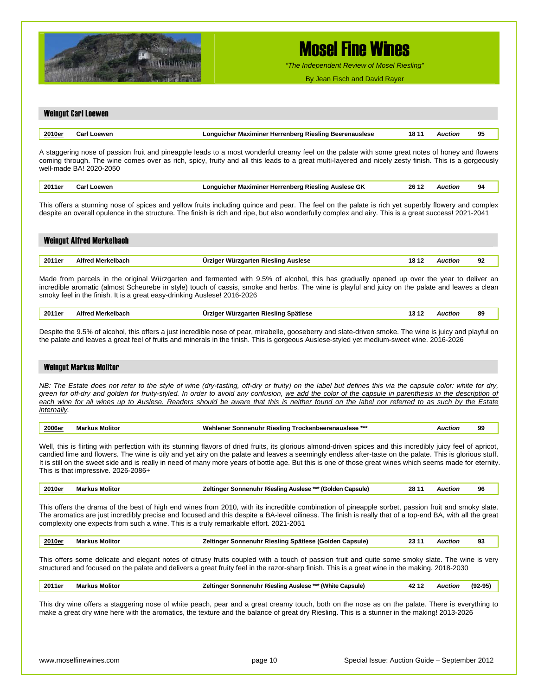

*"The Independent Review of Mosel Riesling"*

By Jean Fisch and David Rayer

### Weingut Carl Loewen **2010er Carl Loewen Longuicher Maximiner Herrenberg Riesling Beerenauslese 18 11** *Auction* **95**  A staggering nose of passion fruit and pineapple leads to a most wonderful creamy feel on the palate with some great notes of honey and flowers coming through. The wine comes over as rich, spicy, fruity and all this leads to a great multi-layered and nicely zesty finish. This is a gorgeously well-made BA! 2020-2050 **2011er Carl Loewen Longuicher Maximiner Herrenberg Riesling Auslese GK 26 12** *Auction* **94**  This offers a stunning nose of spices and yellow fruits including quince and pear. The feel on the palate is rich yet superbly flowery and complex despite an overall opulence in the structure. The finish is rich and ripe, but also wonderfully complex and airy. This is a great success! 2021-2041 Weingut Alfred Merkelbach **2011er Alfred Merkelbach Ürziger Würzgarten Riesling Auslese 18 12** *Auction* **92**  Made from parcels in the original Würzgarten and fermented with 9.5% of alcohol, this has gradually opened up over the year to deliver an incredible aromatic (almost Scheurebe in style) touch of cassis, smoke and herbs. The wine is playful and juicy on the palate and leaves a clean smoky feel in the finish. It is a great easy-drinking Auslese! 2016-2026 **2011er Alfred Merkelbach Ürziger Würzgarten Riesling Spätlese 13 12** *Auction* **89**  Despite the 9.5% of alcohol, this offers a just incredible nose of pear, mirabelle, gooseberry and slate-driven smoke. The wine is juicy and playful on the palate and leaves a great feel of fruits and minerals in the finish. This is gorgeous Auslese-styled yet medium-sweet wine. 2016-2026 Weingut Markus Molitor *NB: The Estate does not refer to the style of wine (dry-tasting, off-dry or fruity) on the label but defines this via the capsule color: white for dry, green for off-dry and golden for fruity-styled. In order to avoid any confusion, we add the color of the capsule in parenthesis in the description of each wine for all wines up to Auslese. Readers should be aware that this is neither found on the label nor referred to as such by the Estate internally.*  **2006er Markus Molitor Wehlener Sonnenuhr Riesling Trockenbeerenauslese \*\*\*** *Auction* **99**  Well, this is flirting with perfection with its stunning flavors of dried fruits, its glorious almond-driven spices and this incredibly juicy feel of apricot, candied lime and flowers. The wine is oily and yet airy on the palate and leaves a seemingly endless after-taste on the palate. This is glorious stuff. It is still on the sweet side and is really in need of many more years of bottle age. But this is one of those great wines which seems made for eternity. This is that impressive. 2026-2086+ **2010er Markus Molitor Zeltinger Sonnenuhr Riesling Auslese \*\*\* (Golden Capsule) 28 11** *Auction* **96**  This offers the drama of the best of high end wines from 2010, with its incredible combination of pineapple sorbet, passion fruit and smoky slate. The aromatics are just incredibly precise and focused and this despite a BA-level oiliness. The finish is really that of a top-end BA, with all the great complexity one expects from such a wine. This is a truly remarkable effort. 2021-2051 **2010er Markus Molitor Zeltinger Sonnenuhr Riesling Spätlese (Golden Capsule) 23 11** *Auction* **93**  This offers some delicate and elegant notes of citrusy fruits coupled with a touch of passion fruit and quite some smoky slate. The wine is very structured and focused on the palate and delivers a great fruity feel in the razor-sharp finish. This is a great wine in the making. 2018-2030 **2011er Markus Molitor Zeltinger Sonnenuhr Riesling Auslese \*\*\* (White Capsule) 42 12** *Auction* **(92-95)**  This dry wine offers a staggering nose of white peach, pear and a great creamy touch, both on the nose as on the palate. There is everything to make a great dry wine here with the aromatics, the texture and the balance of great dry Riesling. This is a stunner in the making! 2013-2026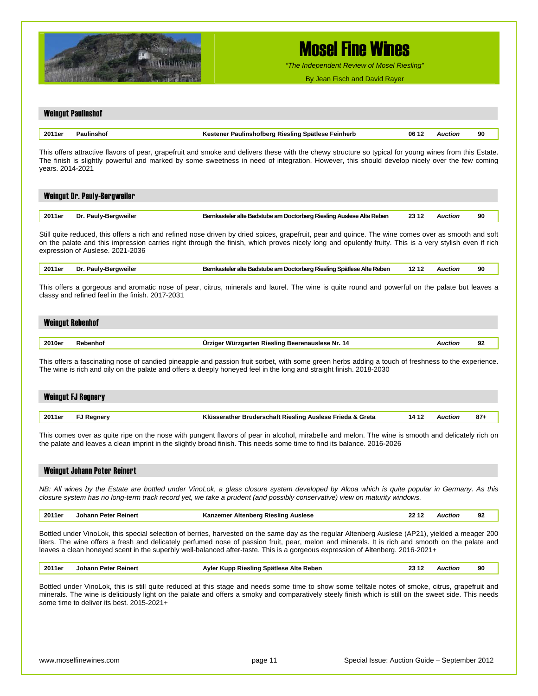

*"The Independent Review of Mosel Riesling"*

By Jean Fisch and David Rayer

## Weingut Paulinshof **2011er Paulinshof Kestener Paulinshofberg Riesling Spätlese Feinherb 06 12** *Auction* **90**  This offers attractive flavors of pear, grapefruit and smoke and delivers these with the chewy structure so typical for young wines from this Estate. The finish is slightly powerful and marked by some sweetness in need of integration. However, this should develop nicely over the few coming years. 2014-2021 Weingut Dr. Pauly-Bergweiler **2011er Dr. Pauly-Bergweiler Bernkasteler alte Badstube am Doctorberg Riesling Auslese Alte Reben 23 12** *Auction* **90**  Still quite reduced, this offers a rich and refined nose driven by dried spices, grapefruit, pear and quince. The wine comes over as smooth and soft on the palate and this impression carries right through the finish, which proves nicely long and opulently fruity. This is a very stylish even if rich expression of Auslese. 2021-2036 **2011er Dr. Pauly-Bergweiler Bernkasteler alte Badstube am Doctorberg Riesling Spätlese Alte Reben 12 12** *Auction* **90**  This offers a gorgeous and aromatic nose of pear, citrus, minerals and laurel. The wine is quite round and powerful on the palate but leaves a classy and refined feel in the finish. 2017-2031 Weingut Rebenhof **2010er Rebenhof Ürziger Würzgarten Riesling Beerenauslese Nr. 14** *Auction* **92**  This offers a fascinating nose of candied pineapple and passion fruit sorbet, with some green herbs adding a touch of freshness to the experience. The wine is rich and oily on the palate and offers a deeply honeyed feel in the long and straight finish. 2018-2030 Weingut FJ Regnery **2011er FJ Regnery Klüsserather Bruderschaft Riesling Auslese Frieda & Greta 14 12** *Auction* **87+**  This comes over as quite ripe on the nose with pungent flavors of pear in alcohol, mirabelle and melon. The wine is smooth and delicately rich on the palate and leaves a clean imprint in the slightly broad finish. This needs some time to find its balance. 2016-2026 Weingut Johann Peter Reinert *NB: All wines by the Estate are bottled under VinoLok, a glass closure system developed by Alcoa which is quite popular in Germany. As this closure system has no long-term track record yet, we take a prudent (and possibly conservative) view on maturity windows.*  **2011er Johann Peter Reinert Kanzemer Altenberg Riesling Auslese 22 12** *Auction* **92**  Bottled under VinoLok, this special selection of berries, harvested on the same day as the regular Altenberg Auslese (AP21), yielded a meager 200 liters. The wine offers a fresh and delicately perfumed nose of passion fruit, pear, melon and minerals. It is rich and smooth on the palate and leaves a clean honeyed scent in the superbly well-balanced after-taste. This is a gorgeous expression of Altenberg. 2016-2021+ **2011er Johann Peter Reinert Ayler Kupp Riesling Spätlese Alte Reben 23 12** *Auction* **90**  Bottled under VinoLok, this is still quite reduced at this stage and needs some time to show some telltale notes of smoke, citrus, grapefruit and minerals. The wine is deliciously light on the palate and offers a smoky and comparatively steely finish which is still on the sweet side. This needs some time to deliver its best. 2015-2021+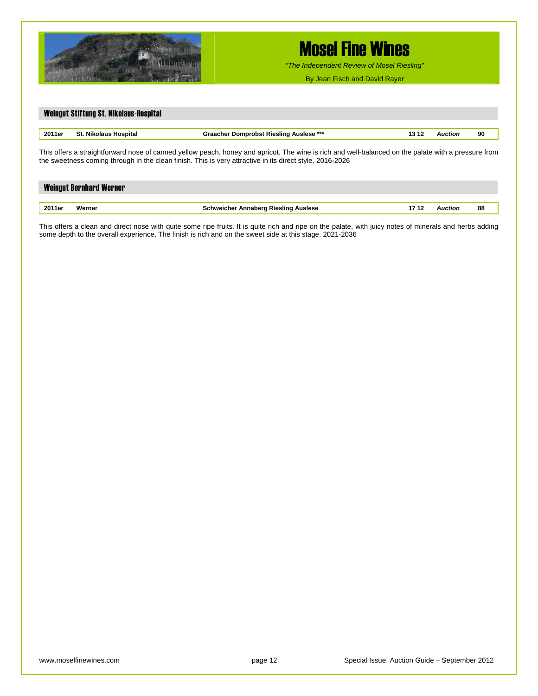

*"The Independent Review of Mosel Riesling"*

By Jean Fisch and David Rayer

| Weingut Stiftung St. Nikolaus-Hospital                                                                                                                                                                                                                          |  |  |  |  |  |  |  |  |  |
|-----------------------------------------------------------------------------------------------------------------------------------------------------------------------------------------------------------------------------------------------------------------|--|--|--|--|--|--|--|--|--|
| <b>Graacher Domprobst Riesling Auslese ***</b><br>90<br>2011er<br><b>St. Nikolaus Hospital</b><br><b>Auction</b><br>13 12                                                                                                                                       |  |  |  |  |  |  |  |  |  |
| This offers a straightforward nose of canned yellow peach, honey and apricot. The wine is rich and well-balanced on the palate with a pressure from<br>the sweetness coming through in the clean finish. This is very attractive in its direct style. 2016-2026 |  |  |  |  |  |  |  |  |  |

|        | <b>Weingut Bernhard Werner</b> |                                             |         |    |
|--------|--------------------------------|---------------------------------------------|---------|----|
|        |                                |                                             |         |    |
| 2011er | Werner                         | <b>Schweicher Annaberg Riesling Auslese</b> | Auction | 88 |

This offers a clean and direct nose with quite some ripe fruits. It is quite rich and ripe on the palate, with juicy notes of minerals and herbs adding some depth to the overall experience. The finish is rich and on the sweet side at this stage. 2021-2036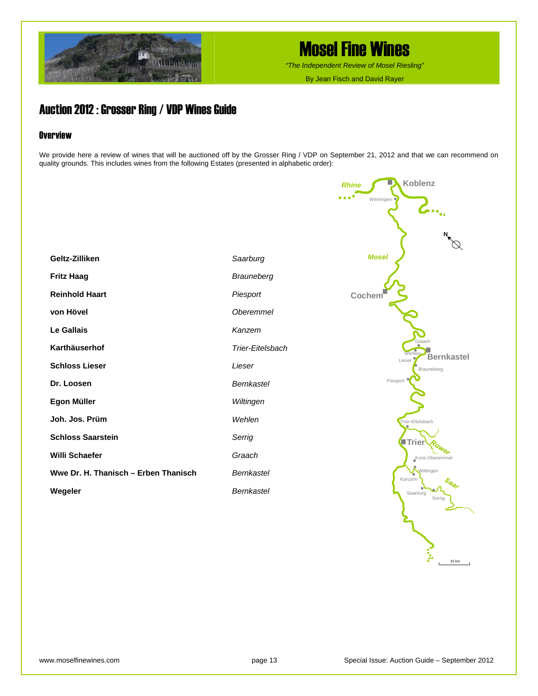

*"The Independent Review of Mosel Riesling"*

By Jean Fisch and David Rayer

### Auction 2012 : Grosser Ring / VDP Wines Guide

#### **Overview**

We provide here a review of wines that will be auctioned off by the Grosser Ring / VDP on September 21, 2012 and that we can recommend on quality grounds. This includes wines from the following Estates (presented in alphabetic order):

|                                      |                   | Koblenz<br><b>Rhine</b>                  |
|--------------------------------------|-------------------|------------------------------------------|
|                                      |                   | .<br>Winningen<br>$\mathbf{A}_{\bullet}$ |
|                                      |                   |                                          |
|                                      |                   |                                          |
| Geltz-Zilliken                       | Saarburg          | <b>Mosel</b>                             |
| <b>Fritz Haag</b>                    | <b>Brauneberg</b> |                                          |
| <b>Reinhold Haart</b>                | Piesport          | Cochem <sup>'</sup>                      |
| von Hövel                            | <b>Oberemmel</b>  |                                          |
| <b>Le Gallais</b>                    | Kanzem            |                                          |
| Karthäuserhof                        | Trier-Eitelsbach  | Graach<br>Wehler<br><b>Bernkastel</b>    |
| <b>Schloss Lieser</b>                | Lieser            | Lieser<br>Brauneberg                     |
| Dr. Loosen                           | <b>Bernkastel</b> | Piesport                                 |
| Egon Müller                          | Wiltingen         |                                          |
| Joh. Jos. Prüm                       | Wehlen            | Trier-Eitelsbach                         |
| <b>Schloss Saarstein</b>             | Serrig            | Trier                                    |
| Willi Schaefer                       | Graach            | Konz-Oberemme                            |
| Wwe Dr. H. Thanisch - Erben Thanisch | <b>Bernkastel</b> | Wiltingen<br>Kanzem                      |
| Wegeler                              | Bernkastel        | Saarburg<br>Serrig                       |
|                                      |                   |                                          |

 $\sum_{n=10}^{\infty}$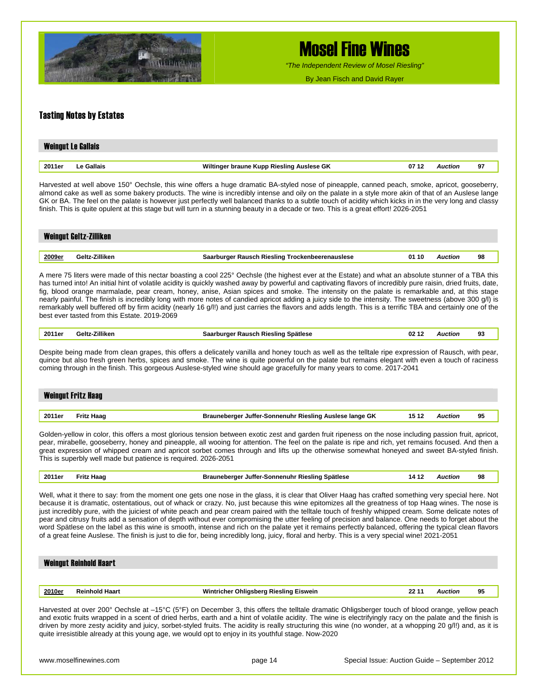

*"The Independent Review of Mosel Riesling"*

By Jean Fisch and David Rayer

#### Tasting Notes by Estates

|        | <b>Weingut Le Gallais</b> |                                                    |         |    |  |  |  |  |
|--------|---------------------------|----------------------------------------------------|---------|----|--|--|--|--|
| 2011er | Le Gallais                | Wiltinger braune Kupp Riesling Auslese GK<br>07 12 | Auction | 97 |  |  |  |  |

Harvested at well above 150° Oechsle, this wine offers a huge dramatic BA-styled nose of pineapple, canned peach, smoke, apricot, gooseberry, almond cake as well as some bakery products. The wine is incredibly intense and oily on the palate in a style more akin of that of an Auslese lange GK or BA. The feel on the palate is however just perfectly well balanced thanks to a subtle touch of acidity which kicks in in the very long and classy finish. This is quite opulent at this stage but will turn in a stunning beauty in a decade or two. This is a great effort! 2026-2051

|        | <b>Weingut Geltz-Zilliken</b> |                                                 |       |         |    |
|--------|-------------------------------|-------------------------------------------------|-------|---------|----|
|        |                               |                                                 |       |         |    |
| 2009er | Geltz-Zilliken                | Saarburger Rausch Riesling Trockenbeerenauslese | 01 10 | Auction | 98 |

A mere 75 liters were made of this nectar boasting a cool 225° Oechsle (the highest ever at the Estate) and what an absolute stunner of a TBA this has turned into! An initial hint of volatile acidity is quickly washed away by powerful and captivating flavors of incredibly pure raisin, dried fruits, date, fig, blood orange marmalade, pear cream, honey, anise, Asian spices and smoke. The intensity on the palate is remarkable and, at this stage nearly painful. The finish is incredibly long with more notes of candied apricot adding a juicy side to the intensity. The sweetness (above 300 g/l) is remarkably well buffered off by firm acidity (nearly 16 g/l!) and just carries the flavors and adds length. This is a terrific TBA and certainly one of the best ever tasted from this Estate. 2019-2069

| 2011er | $- \cdots$<br>`eltz∙<br>'illiken | 02<br>. .<br>Soätlese<br><b>Riesling</b><br>Rausci.<br>лин | Wiction | n٠<br>ູ |
|--------|----------------------------------|------------------------------------------------------------|---------|---------|
|        |                                  |                                                            |         |         |

Despite being made from clean grapes, this offers a delicately vanilla and honey touch as well as the telltale ripe expression of Rausch, with pear, quince but also fresh green herbs, spices and smoke. The wine is quite powerful on the palate but remains elegant with even a touch of raciness coming through in the finish. This gorgeous Auslese-styled wine should age gracefully for many years to come. 2017-2041

|        | <b>Weingut Fritz Haag</b> |                                                         |       |         |    |
|--------|---------------------------|---------------------------------------------------------|-------|---------|----|
|        |                           |                                                         |       |         |    |
| 2011er | <b>Fritz Haag</b>         | Brauneberger Juffer-Sonnenuhr Riesling Auslese lange GK | 15 12 | Auction | 95 |

Golden-yellow in color, this offers a most glorious tension between exotic zest and garden fruit ripeness on the nose including passion fruit, apricot, pear, mirabelle, gooseberry, honey and pineapple, all wooing for attention. The feel on the palate is ripe and rich, yet remains focused. And then a great expression of whipped cream and apricot sorbet comes through and lifts up the otherwise somewhat honeyed and sweet BA-styled finish. This is superbly well made but patience is required. 2026-2051

| Spätlese<br>2011er<br>Haag<br>.rauneberger<br>. Juffer-Sonnenuhr Riesling '<br>'rit<br>14<br>Auction<br>. .<br>. | 98 |
|------------------------------------------------------------------------------------------------------------------|----|
|------------------------------------------------------------------------------------------------------------------|----|

Well, what it there to say: from the moment one gets one nose in the glass, it is clear that Oliver Haag has crafted something very special here. Not because it is dramatic, ostentatious, out of whack or crazy. No, just because this wine epitomizes all the greatness of top Haag wines. The nose is just incredibly pure, with the juiciest of white peach and pear cream paired with the telltale touch of freshly whipped cream. Some delicate notes of pear and citrusy fruits add a sensation of depth without ever compromising the utter feeling of precision and balance. One needs to forget about the word Spätlese on the label as this wine is smooth, intense and rich on the palate yet it remains perfectly balanced, offering the typical clean flavors of a great feine Auslese. The finish is just to die for, being incredibly long, juicy, floral and herby. This is a very special wine! 2021-2051

| <b>Weingut Reinhold Haart</b> |                       |                                        |       |                |    |  |  |  |  |
|-------------------------------|-----------------------|----------------------------------------|-------|----------------|----|--|--|--|--|
|                               |                       |                                        |       |                |    |  |  |  |  |
| 2010er                        | <b>Reinhold Haart</b> | Wintricher Ohligsberg Riesling Eiswein | 22 11 | <b>Auction</b> | 95 |  |  |  |  |
|                               |                       |                                        |       |                |    |  |  |  |  |

Harvested at over 200° Oechsle at –15°C (5°F) on December 3, this offers the telltale dramatic Ohligsberger touch of blood orange, yellow peach and exotic fruits wrapped in a scent of dried herbs, earth and a hint of volatile acidity. The wine is electrifyingly racy on the palate and the finish is driven by more zesty acidity and juicy, sorbet-styled fruits. The acidity is really structuring this wine (no wonder, at a whopping 20 g/l!) and, as it is quite irresistible already at this young age, we would opt to enjoy in its youthful stage. Now-2020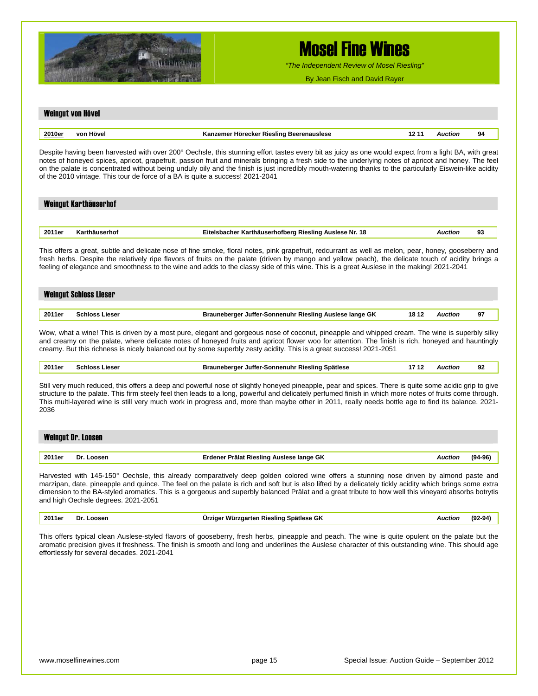

*"The Independent Review of Mosel Riesling"*

By Jean Fisch and David Rayer

### Weingut von Hövel **2010er von Hövel Kanzemer Hörecker Riesling Beerenauslese 12 11** *Auction* **94**  Despite having been harvested with over 200° Oechsle, this stunning effort tastes every bit as juicy as one would expect from a light BA, with great notes of honeyed spices, apricot, grapefruit, passion fruit and minerals bringing a fresh side to the underlying notes of apricot and honey. The feel on the palate is concentrated without being unduly oily and the finish is just incredibly mouth-watering thanks to the particularly Eiswein-like acidity of the 2010 vintage. This tour de force of a BA is quite a success! 2021-2041 Weingut Karthäuserhof **2011er Karthäuserhof Eitelsbacher Karthäuserhofberg Riesling Auslese Nr. 18** *Auction* **93**  This offers a great, subtle and delicate nose of fine smoke, floral notes, pink grapefruit, redcurrant as well as melon, pear, honey, gooseberry and fresh herbs. Despite the relatively ripe flavors of fruits on the palate (driven by mango and yellow peach), the delicate touch of acidity brings a feeling of elegance and smoothness to the wine and adds to the classy side of this wine. This is a great Auslese in the making! 2021-2041 Weingut Schloss Lieser **2011er Schloss Lieser Brauneberger Juffer-Sonnenuhr Riesling Auslese lange GK 18 12** *Auction* **97**  Wow, what a wine! This is driven by a most pure, elegant and gorgeous nose of coconut, pineapple and whipped cream. The wine is superbly silky and creamy on the palate, where delicate notes of honeyed fruits and apricot flower woo for attention. The finish is rich, honeyed and hauntingly creamy. But this richness is nicely balanced out by some superbly zesty acidity. This is a great success! 2021-2051 **2011er Schloss Lieser Brauneberger Juffer-Sonnenuhr Riesling Spätlese 17 12** *Auction* **92**  Still very much reduced, this offers a deep and powerful nose of slightly honeyed pineapple, pear and spices. There is quite some acidic grip to give structure to the palate. This firm steely feel then leads to a long, powerful and delicately perfumed finish in which more notes of fruits come through. This multi-layered wine is still very much work in progress and, more than maybe other in 2011, really needs bottle age to find its balance. 2021- 2036 Weingut Dr. Loosen **2011er Dr. Loosen Erdener Prälat Riesling Auslese lange GK** *Auction* **(94-96)** Harvested with 145-150° Oechsle, this already comparatively deep golden colored wine offers a stunning nose driven by almond paste and marzipan, date, pineapple and quince. The feel on the palate is rich and soft but is also lifted by a delicately tickly acidity which brings some extra dimension to the BA-styled aromatics. This is a gorgeous and superbly balanced Prälat and a great tribute to how well this vineyard absorbs botrytis and high Oechsle degrees. 2021-2051 **2011er Dr. Loosen Ürziger Würzgarten Riesling Spätlese GK** *Auction* **(92-94)** This offers typical clean Auslese-styled flavors of gooseberry, fresh herbs, pineapple and peach. The wine is quite opulent on the palate but the aromatic precision gives it freshness. The finish is smooth and long and underlines the Auslese character of this outstanding wine. This should age effortlessly for several decades. 2021-2041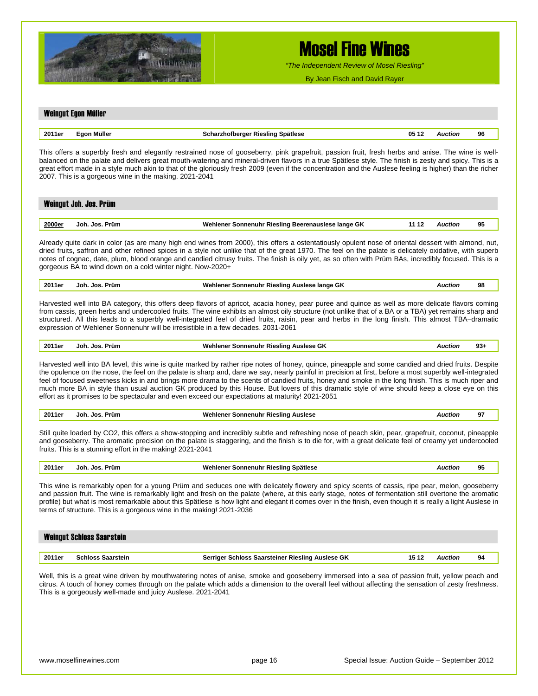

Weingut Egon Müller

## Mosel Fine Wines

*"The Independent Review of Mosel Riesling"*

By Jean Fisch and David Rayer

### **2011er Egon Müller Scharzhofberger Riesling Spätlese 05 12** *Auction* **96**  This offers a superbly fresh and elegantly restrained nose of gooseberry, pink grapefruit, passion fruit, fresh herbs and anise. The wine is wellbalanced on the palate and delivers great mouth-watering and mineral-driven flavors in a true Spätlese style. The finish is zesty and spicy. This is a great effort made in a style much akin to that of the gloriously fresh 2009 (even if the concentration and the Auslese feeling is higher) than the richer 2007. This is a gorgeous wine in the making. 2021-2041 Weingut Joh. Jos. Prüm **2000er Joh. Jos. Prüm Wehlener Sonnenuhr Riesling Beerenauslese lange GK 11 12** *Auction* **95** Already quite dark in color (as are many high end wines from 2000), this offers a ostentatiously opulent nose of oriental dessert with almond, nut, dried fruits, saffron and other refined spices in a style not unlike that of the great 1970. The feel on the palate is delicately oxidative, with superb notes of cognac, date, plum, blood orange and candied citrusy fruits. The finish is oily yet, as so often with Prüm BAs, incredibly focused. This is a gorgeous BA to wind down on a cold winter night. Now-2020+ **2011er Joh. Jos. Prüm Wehlener Sonnenuhr Riesling Auslese lange GK** *Auction* **98**

Harvested well into BA category, this offers deep flavors of apricot, acacia honey, pear puree and quince as well as more delicate flavors coming from cassis, green herbs and undercooled fruits. The wine exhibits an almost oily structure (not unlike that of a BA or a TBA) yet remains sharp and structured. All this leads to a superbly well-integrated feel of dried fruits, raisin, pear and herbs in the long finish. This almost TBA–dramatic expression of Wehlener Sonnenuhr will be irresistible in a few decades. 2031-2061

| 2011er | Prüm<br>ءما.<br>Joh | ""ehlener<br>onnenuhr<br><b>Rieslind</b><br>Auslese GK | 6800 | ΩO<br>აა. |
|--------|---------------------|--------------------------------------------------------|------|-----------|
|        |                     |                                                        |      |           |

Harvested well into BA level, this wine is quite marked by rather ripe notes of honey, quince, pineapple and some candied and dried fruits. Despite the opulence on the nose, the feel on the palate is sharp and, dare we say, nearly painful in precision at first, before a most superbly well-integrated feel of focused sweetness kicks in and brings more drama to the scents of candied fruits, honey and smoke in the long finish. This is much riper and much more BA in style than usual auction GK produced by this House. But lovers of this dramatic style of wine should keep a close eye on this effort as it promises to be spectacular and even exceed our expectations at maturity! 2021-2051

|  | 2011er | .Ioh<br>Prüm<br>.los | Wehlener<br><sup>.</sup> Riesling Auslese<br>Sonnenuhr<br>--<br>. | Auctior<br>. | Ω.<br>. . |
|--|--------|----------------------|-------------------------------------------------------------------|--------------|-----------|
|--|--------|----------------------|-------------------------------------------------------------------|--------------|-----------|

Still quite loaded by CO2, this offers a show-stopping and incredibly subtle and refreshing nose of peach skin, pear, grapefruit, coconut, pineapple and gooseberry. The aromatic precision on the palate is staggering, and the finish is to die for, with a great delicate feel of creamy yet undercooled fruits. This is a stunning effort in the making! 2021-2041

**2011er Joh. Jos. Prüm Wehlener Sonnenuhr Riesling Spätlese** *Auction* **95**

This wine is remarkably open for a young Prüm and seduces one with delicately flowery and spicy scents of cassis, ripe pear, melon, gooseberry and passion fruit. The wine is remarkably light and fresh on the palate (where, at this early stage, notes of fermentation still overtone the aromatic profile) but what is most remarkable about this Spätlese is how light and elegant it comes over in the finish, even though it is really a light Auslese in terms of structure. This is a gorgeous wine in the making! 2021-2036

| <b>Weingut Schloss Saarstein</b> |                          |                                                  |       |                |    |  |  |
|----------------------------------|--------------------------|--------------------------------------------------|-------|----------------|----|--|--|
| 2011er                           | <b>Schloss Saarstein</b> | Serriger Schloss Saarsteiner Riesling Auslese GK | 15 12 | <b>Auction</b> | 94 |  |  |

Well, this is a great wine driven by mouthwatering notes of anise, smoke and gooseberry immersed into a sea of passion fruit, yellow peach and citrus. A touch of honey comes through on the palate which adds a dimension to the overall feel without affecting the sensation of zesty freshness. This is a gorgeously well-made and juicy Auslese. 2021-2041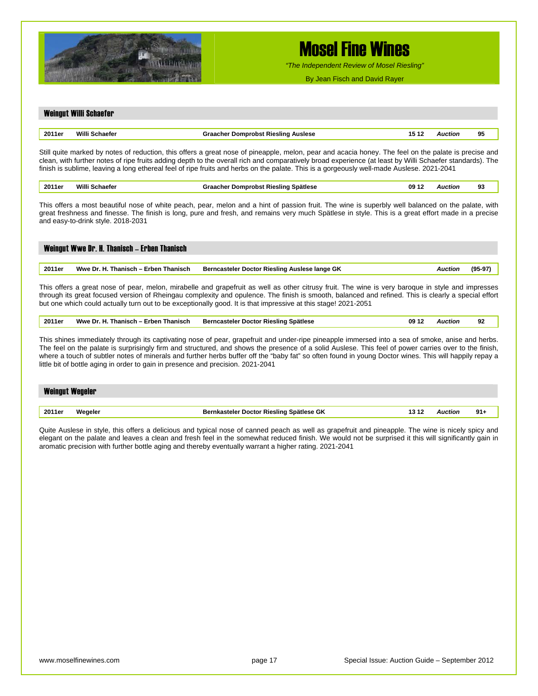

*"The Independent Review of Mosel Riesling"*

By Jean Fisch and David Rayer

#### Weingut Willi Schaefer

| 2011er | <b>MAZELES</b><br>ומזפג | <b>Auslese</b><br><b>Rieslind</b> | 15<br> | Allction | 95 |
|--------|-------------------------|-----------------------------------|--------|----------|----|
|        |                         |                                   |        |          |    |

Still quite marked by notes of reduction, this offers a great nose of pineapple, melon, pear and acacia honey. The feel on the palate is precise and clean, with further notes of ripe fruits adding depth to the overall rich and comparatively broad experience (at least by Willi Schaefer standards). The finish is sublime, leaving a long ethereal feel of ripe fruits and herbs on the palate. This is a gorgeously well-made Auslese. 2021-2041

| 2011e | . | Spätlese<br>…eslind ''<br>. | 09<br>. .<br>$\sim$ $\sim$ | . | n.<br>- |
|-------|---|-----------------------------|----------------------------|---|---------|
|       |   |                             |                            |   |         |

This offers a most beautiful nose of white peach, pear, melon and a hint of passion fruit. The wine is superbly well balanced on the palate, with great freshness and finesse. The finish is long, pure and fresh, and remains very much Spätlese in style. This is a great effort made in a precise and easy-to-drink style. 2018-2031

### Weingut Wwe Dr. H. Thanisch – Erben Thanisch **2011er Wwe Dr. H. Thanisch – Erben Thanisch Berncasteler Doctor Riesling Auslese lange GK** *Auction* **(95-97)**  This offers a great nose of pear, melon, mirabelle and grapefruit as well as other citrusy fruit. The wine is very baroque in style and impresses

through its great focused version of Rheingau complexity and opulence. The finish is smooth, balanced and refined. This is clearly a special effort but one which could actually turn out to be exceptionally good. It is that impressive at this stage! 2021-2051

**2011er Wwe Dr. H. Thanisch – Erben Thanisch Berncasteler Doctor Riesling Spätlese 09 12** *Auction* **92** 

This shines immediately through its captivating nose of pear, grapefruit and under-ripe pineapple immersed into a sea of smoke, anise and herbs. The feel on the palate is surprisingly firm and structured, and shows the presence of a solid Auslese. This feel of power carries over to the finish, where a touch of subtler notes of minerals and further herbs buffer off the "baby fat" so often found in young Doctor wines. This will happily repay a little bit of bottle aging in order to gain in presence and precision. 2021-2041

| <b>Weingut Wegeler</b> |         |                                          |       |         |        |  |  |
|------------------------|---------|------------------------------------------|-------|---------|--------|--|--|
| 2011er                 | Wegeler | Bernkasteler Doctor Riesling Spätlese GK | l3 12 | Auction | $91 +$ |  |  |

Quite Auslese in style, this offers a delicious and typical nose of canned peach as well as grapefruit and pineapple. The wine is nicely spicy and elegant on the palate and leaves a clean and fresh feel in the somewhat reduced finish. We would not be surprised it this will significantly gain in aromatic precision with further bottle aging and thereby eventually warrant a higher rating. 2021-2041